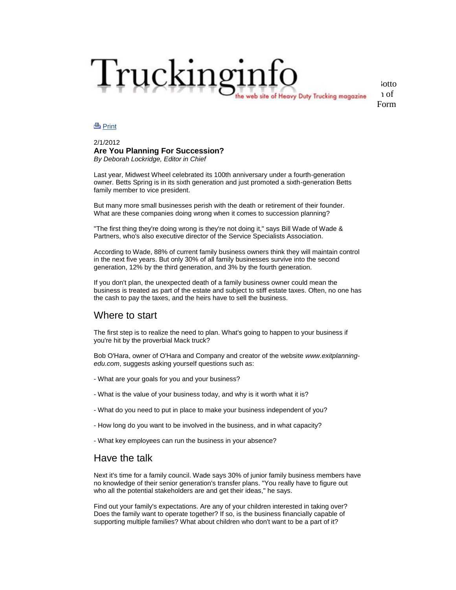# Truckinginfo site of Heavy Duty Trucking magazine

[Botto](http://www.truckinginfo.com/index.asp) m of Form

#### <u>පි [Print](http://www.truckinginfo.com/news/news-print.asp?news_id=75796)</u>

#### 2/1/2012 **Are You Planning For Succession?** *By Deborah Lockridge, Editor in Chief*

Last year, Midwest Wheel celebrated its 100th anniversary under a fourth-generation owner. Betts Spring is in its sixth generation and just promoted a sixth-generation Betts family member to vice president.

But many more small businesses perish with the death or retirement of their founder. What are these companies doing wrong when it comes to succession planning?

"The first thing they're doing wrong is they're not doing it," says Bill Wade of Wade & Partners, who's also executive director of the Service Specialists Association.

According to Wade, 88% of current family business owners think they will maintain control in the next five years. But only 30% of all family businesses survive into the second generation, 12% by the third generation, and 3% by the fourth generation.

If you don't plan, the unexpected death of a family business owner could mean the business is treated as part of the estate and subject to stiff estate taxes. Often, no one has the cash to pay the taxes, and the heirs have to sell the business.

#### Where to start

The first step is to realize the need to plan. What's going to happen to your business if you're hit by the proverbial Mack truck?

Bob O'Hara, owner of O'Hara and Company and creator of the website *www.exitplanningedu.com*, suggests asking yourself questions such as:

- What are your goals for you and your business?
- What is the value of your business today, and why is it worth what it is?
- What do you need to put in place to make your business independent of you?
- How long do you want to be involved in the business, and in what capacity?
- What key employees can run the business in your absence?

## Have the talk

Next it's time for a family council. Wade says 30% of junior family business members have no knowledge of their senior generation's transfer plans. "You really have to figure out who all the potential stakeholders are and get their ideas," he says.

Find out your family's expectations. Are any of your children interested in taking over? Does the family want to operate together? If so, is the business financially capable of supporting multiple families? What about children who don't want to be a part of it?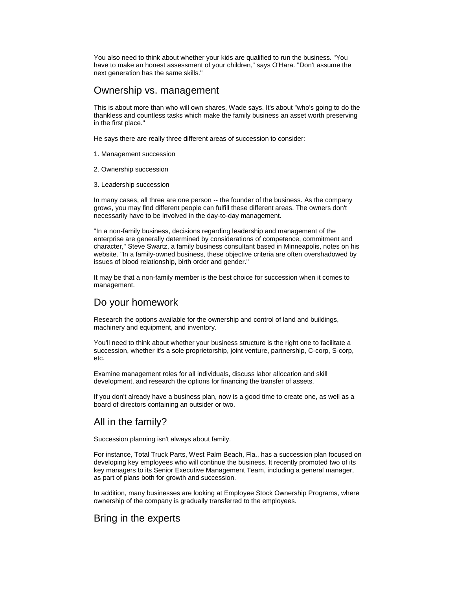You also need to think about whether your kids are qualified to run the business. "You have to make an honest assessment of your children," says O'Hara. "Don't assume the next generation has the same skills."

### Ownership vs. management

This is about more than who will own shares, Wade says. It's about "who's going to do the thankless and countless tasks which make the family business an asset worth preserving in the first place."

He says there are really three different areas of succession to consider:

- 1. Management succession
- 2. Ownership succession
- 3. Leadership succession

In many cases, all three are one person -- the founder of the business. As the company grows, you may find different people can fulfill these different areas. The owners don't necessarily have to be involved in the day-to-day management.

"In a non-family business, decisions regarding leadership and management of the enterprise are generally determined by considerations of competence, commitment and character," Steve Swartz, a family business consultant based in Minneapolis, notes on his website. "In a family-owned business, these objective criteria are often overshadowed by issues of blood relationship, birth order and gender."

It may be that a non-family member is the best choice for succession when it comes to management.

# Do your homework

Research the options available for the ownership and control of land and buildings, machinery and equipment, and inventory.

You'll need to think about whether your business structure is the right one to facilitate a succession, whether it's a sole proprietorship, joint venture, partnership, C-corp, S-corp, etc.

Examine management roles for all individuals, discuss labor allocation and skill development, and research the options for financing the transfer of assets.

If you don't already have a business plan, now is a good time to create one, as well as a board of directors containing an outsider or two.

# All in the family?

Succession planning isn't always about family.

For instance, Total Truck Parts, West Palm Beach, Fla., has a succession plan focused on developing key employees who will continue the business. It recently promoted two of its key managers to its Senior Executive Management Team, including a general manager, as part of plans both for growth and succession.

In addition, many businesses are looking at Employee Stock Ownership Programs, where ownership of the company is gradually transferred to the employees.

# Bring in the experts